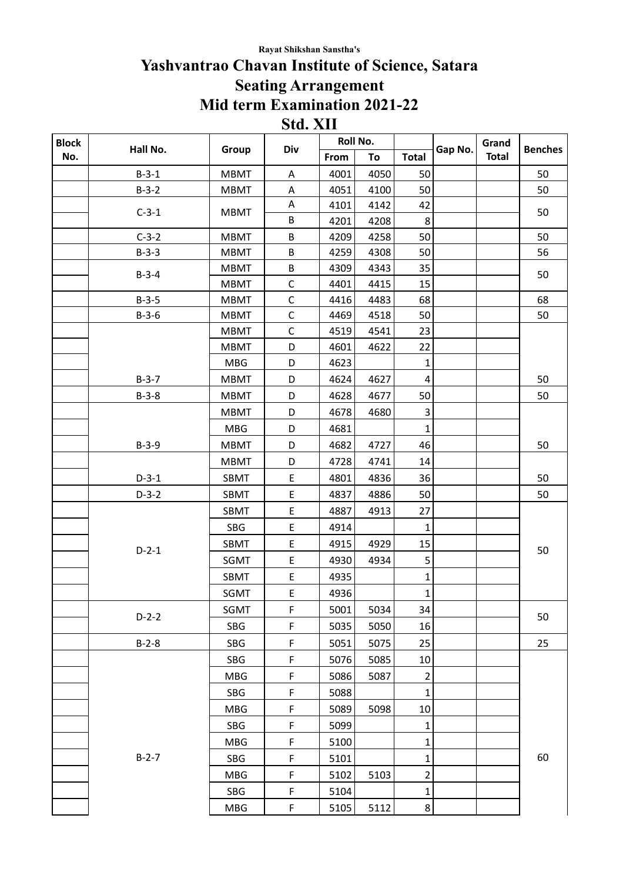## **Rayat Shikshan Sanstha's**

## **Yashvantrao Chavan Institute of Science, Satara Seating Arrangement Mid term Examination 2021-22 Std. XII**

| <b>Block</b> | Hall No. |             |             | Roll No. |      | Gap No.                 | Grand | <b>Benches</b> |    |
|--------------|----------|-------------|-------------|----------|------|-------------------------|-------|----------------|----|
| No.          |          | Group       | Div         | From     | To   | <b>Total</b>            |       | <b>Total</b>   |    |
|              | $B-3-1$  | <b>MBMT</b> | A           | 4001     | 4050 | 50                      |       |                | 50 |
|              | $B-3-2$  | <b>MBMT</b> | A           | 4051     | 4100 | 50                      |       |                | 50 |
|              | $C-3-1$  | <b>MBMT</b> | A           | 4101     | 4142 | 42                      |       |                | 50 |
|              |          |             | $\sf B$     | 4201     | 4208 | 8                       |       |                |    |
|              | $C-3-2$  | <b>MBMT</b> | $\sf B$     | 4209     | 4258 | 50                      |       |                | 50 |
|              | $B-3-3$  | <b>MBMT</b> | B           | 4259     | 4308 | 50                      |       |                | 56 |
|              | $B-3-4$  | <b>MBMT</b> | $\sf B$     | 4309     | 4343 | 35                      |       |                | 50 |
|              |          | <b>MBMT</b> | $\mathsf C$ | 4401     | 4415 | 15                      |       |                |    |
|              | $B-3-5$  | <b>MBMT</b> | $\mathsf C$ | 4416     | 4483 | 68                      |       |                | 68 |
|              | $B-3-6$  | <b>MBMT</b> | $\mathsf C$ | 4469     | 4518 | 50                      |       |                | 50 |
|              |          | <b>MBMT</b> | $\mathsf C$ | 4519     | 4541 | 23                      |       |                |    |
|              |          | <b>MBMT</b> | D           | 4601     | 4622 | 22                      |       |                |    |
|              |          | <b>MBG</b>  | D           | 4623     |      | $\mathbf 1$             |       |                |    |
|              | $B-3-7$  | <b>MBMT</b> | D           | 4624     | 4627 | $\overline{4}$          |       |                | 50 |
|              | $B-3-8$  | <b>MBMT</b> | D           | 4628     | 4677 | 50                      |       |                | 50 |
|              |          | <b>MBMT</b> | D           | 4678     | 4680 | $\mathsf 3$             |       |                |    |
|              |          | <b>MBG</b>  | D           | 4681     |      | $\mathbf 1$             |       |                |    |
|              | $B-3-9$  | <b>MBMT</b> | D           | 4682     | 4727 | 46                      |       |                | 50 |
|              |          | <b>MBMT</b> | D           | 4728     | 4741 | 14                      |       |                |    |
|              | $D-3-1$  | SBMT        | E           | 4801     | 4836 | 36                      |       |                | 50 |
|              | $D-3-2$  | SBMT        | $\mathsf E$ | 4837     | 4886 | 50                      |       |                | 50 |
|              |          | SBMT        | $\mathsf E$ | 4887     | 4913 | 27                      |       |                |    |
|              |          | SBG         | E           | 4914     |      | $\mathbf{1}$            |       |                | 50 |
|              | $D-2-1$  | SBMT        | $\sf E$     | 4915     | 4929 | 15                      |       |                |    |
|              |          | SGMT        | $\mathsf E$ | 4930     | 4934 | 5                       |       |                |    |
|              |          | SBMT        | $\sf E$     | 4935     |      | 1                       |       |                |    |
|              |          | SGMT        | $\sf E$     | 4936     |      | $\mathbf{1}$            |       |                |    |
|              | $D-2-2$  | SGMT        | $\mathsf F$ | 5001     | 5034 | 34                      |       |                | 50 |
|              |          | SBG         | F           | 5035     | 5050 | 16                      |       |                |    |
|              | $B-2-8$  | SBG         | $\mathsf F$ | 5051     | 5075 | 25                      |       |                | 25 |
|              |          | SBG         | F           | 5076     | 5085 | 10                      |       |                |    |
|              |          | <b>MBG</b>  | $\mathsf F$ | 5086     | 5087 | 2                       |       |                |    |
|              |          | SBG         | $\mathsf F$ | 5088     |      | $\mathbf 1$             |       |                |    |
|              | $B-2-7$  | MBG         | $\mathsf F$ | 5089     | 5098 | $10\,$                  |       |                |    |
|              |          | SBG         | $\mathsf F$ | 5099     |      | $\mathbf 1$             |       |                |    |
|              |          | MBG         | $\mathsf F$ | 5100     |      | $\mathbf 1$             |       |                |    |
|              |          | SBG         | $\mathsf F$ | 5101     |      | $\mathbf 1$             |       |                | 60 |
|              |          | MBG         | $\mathsf F$ | 5102     | 5103 | $\overline{\mathbf{c}}$ |       |                |    |
|              |          | SBG         | $\mathsf F$ | 5104     |      | $\mathbf 1$             |       |                |    |
|              |          | <b>MBG</b>  | $\mathsf F$ | 5105     | 5112 | $\bf 8$                 |       |                |    |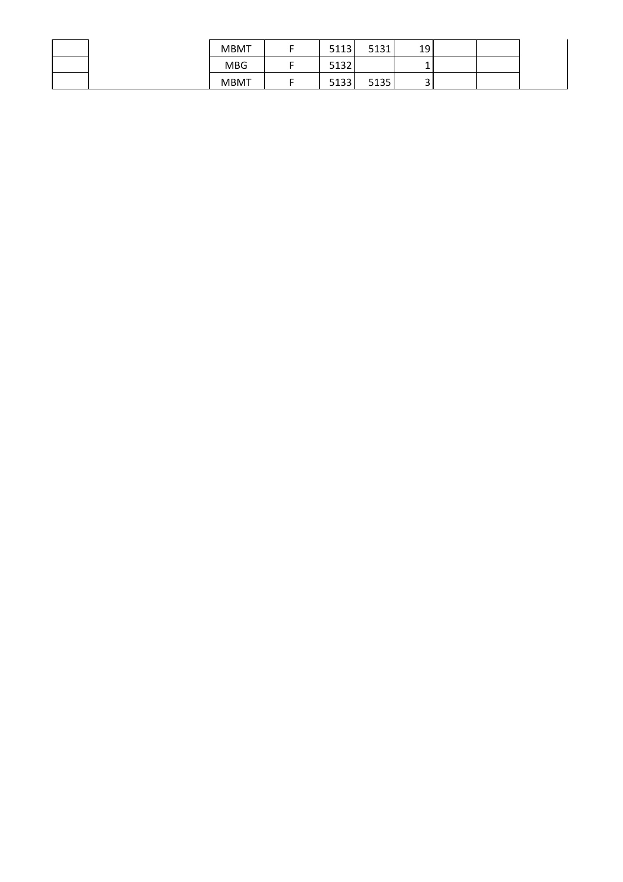|  | <b>MBMT</b> | 5113             | E121<br>JT2T | 19     |  |  |
|--|-------------|------------------|--------------|--------|--|--|
|  | <b>MBG</b>  | F 4 22<br>' ∠כ⊥כ |              |        |  |  |
|  | <b>MBMT</b> | 5133             | 5135         | ∽<br>ັ |  |  |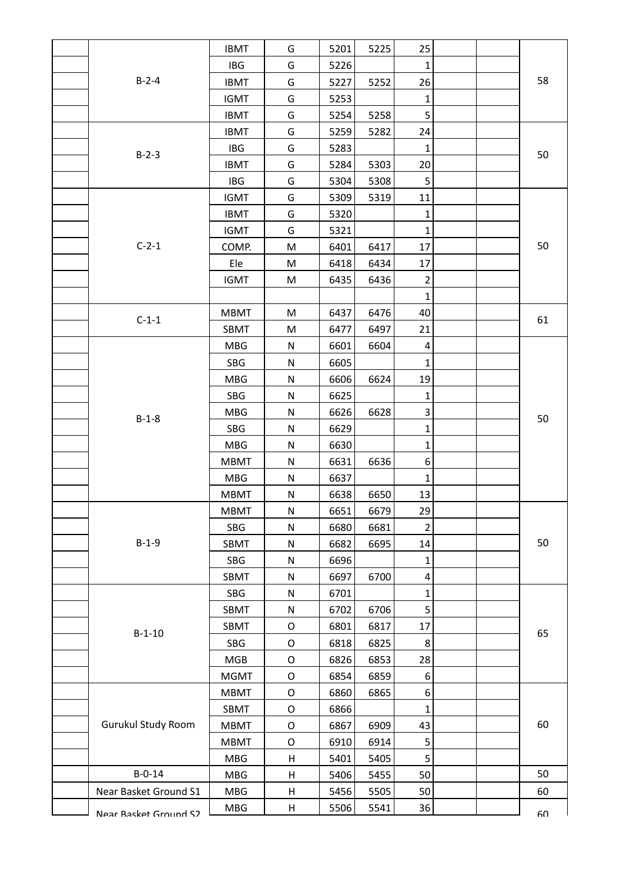|  |                       | <b>IBMT</b> | G           | 5201 | 5225 | 25               |  |    |
|--|-----------------------|-------------|-------------|------|------|------------------|--|----|
|  |                       | <b>IBG</b>  | G           | 5226 |      | 1                |  |    |
|  | $B-2-4$               | <b>IBMT</b> | G           | 5227 | 5252 | 26               |  | 58 |
|  |                       | <b>IGMT</b> | G           | 5253 |      | $\mathbf 1$      |  |    |
|  |                       | <b>IBMT</b> | G           | 5254 | 5258 | 5                |  |    |
|  | $B-2-3$               | <b>IBMT</b> | G           | 5259 | 5282 | 24               |  |    |
|  |                       | <b>IBG</b>  | G           | 5283 |      | $\mathbf 1$      |  | 50 |
|  |                       | <b>IBMT</b> | G           | 5284 | 5303 | 20               |  |    |
|  |                       | IBG         | G           | 5304 | 5308 | 5                |  |    |
|  |                       | <b>IGMT</b> | G           | 5309 | 5319 | 11               |  |    |
|  |                       | <b>IBMT</b> | G           | 5320 |      | $\mathbf 1$      |  |    |
|  |                       | <b>IGMT</b> | G           | 5321 |      | $\mathbf{1}$     |  |    |
|  | $C-2-1$               | COMP.       | ${\sf M}$   | 6401 | 6417 | 17               |  | 50 |
|  |                       | Ele         | M           | 6418 | 6434 | 17               |  |    |
|  |                       | <b>IGMT</b> | M           | 6435 | 6436 | $\overline{2}$   |  |    |
|  |                       |             |             |      |      | $\mathbf{1}$     |  |    |
|  | $C-1-1$               | <b>MBMT</b> | M           | 6437 | 6476 | 40               |  | 61 |
|  |                       | SBMT        | M           | 6477 | 6497 | 21               |  |    |
|  |                       | <b>MBG</b>  | N           | 6601 | 6604 | $\overline{a}$   |  |    |
|  |                       | SBG         | ${\sf N}$   | 6605 |      | 1                |  |    |
|  |                       | MBG         | ${\sf N}$   | 6606 | 6624 | 19               |  |    |
|  |                       | SBG         | ${\sf N}$   | 6625 |      | $\mathbf 1$      |  |    |
|  |                       | <b>MBG</b>  | ${\sf N}$   | 6626 | 6628 | $\mathsf 3$      |  | 50 |
|  | $B-1-8$               | SBG         | ${\sf N}$   | 6629 |      | $\mathbf 1$      |  |    |
|  |                       | <b>MBG</b>  | ${\sf N}$   | 6630 |      | $\mathbf 1$      |  |    |
|  |                       | <b>MBMT</b> | ${\sf N}$   | 6631 | 6636 | $\boldsymbol{6}$ |  |    |
|  |                       | <b>MBG</b>  | ${\sf N}$   | 6637 |      | $\mathbf{1}$     |  |    |
|  |                       | <b>MBMT</b> | ${\sf N}$   | 6638 | 6650 | 13               |  |    |
|  |                       | MBMT        | N           | 6651 | 6679 | 29               |  |    |
|  |                       | SBG         | ${\sf N}$   | 6680 | 6681 | $\overline{2}$   |  |    |
|  | $B-1-9$               | SBMT        | ${\sf N}$   | 6682 | 6695 | 14               |  | 50 |
|  |                       | SBG         | ${\sf N}$   | 6696 |      | 1                |  |    |
|  |                       | SBMT        | ${\sf N}$   | 6697 | 6700 | $\pmb{4}$        |  |    |
|  |                       | SBG         | ${\sf N}$   | 6701 |      | $\mathbf 1$      |  |    |
|  |                       | SBMT        | ${\sf N}$   | 6702 | 6706 | $\mathsf S$      |  |    |
|  |                       | SBMT        | $\mathsf O$ | 6801 | 6817 | 17               |  | 65 |
|  | $B-1-10$              | SBG         | $\mathsf O$ | 6818 | 6825 | 8                |  |    |
|  |                       | <b>MGB</b>  | $\mathsf O$ | 6826 | 6853 | 28               |  |    |
|  |                       | <b>MGMT</b> | $\mathsf O$ | 6854 | 6859 | $\,6\,$          |  |    |
|  |                       | <b>MBMT</b> | $\mathsf O$ | 6860 | 6865 | $\,6$            |  |    |
|  |                       | SBMT        | $\mathsf O$ | 6866 |      | 1                |  |    |
|  | Gurukul Study Room    | <b>MBMT</b> | $\mathsf O$ | 6867 | 6909 | 43               |  | 60 |
|  |                       | <b>MBMT</b> | $\mathsf O$ | 6910 | 6914 | $\mathsf S$      |  |    |
|  |                       | MBG         | H           | 5401 | 5405 | $\mathsf S$      |  |    |
|  | $B - 0 - 14$          | MBG         | H           | 5406 | 5455 | 50               |  | 50 |
|  | Near Basket Ground S1 | MBG         | H           | 5456 | 5505 | 50               |  | 60 |
|  | Near Racket Ground S2 | MBG         | H           | 5506 | 5541 | 36               |  | ናሀ |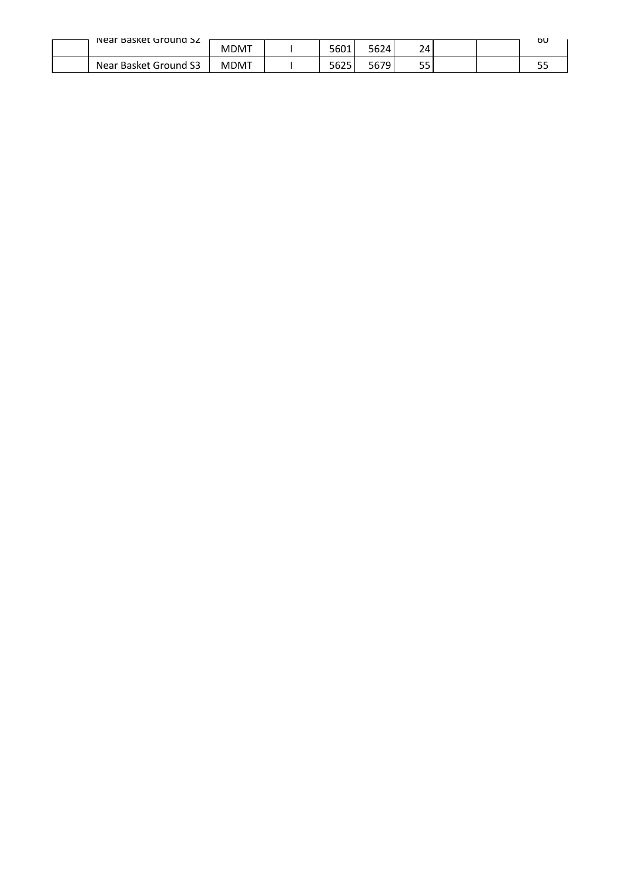| Near Basket Ground SZ | MDMT | 5601 | '3624        | 24        |  | σU         |
|-----------------------|------|------|--------------|-----------|--|------------|
| Near Basket Ground S3 | MDMT | 5625 | 570.<br>5679 | --<br>ر ر |  | гr.<br>ں ب |